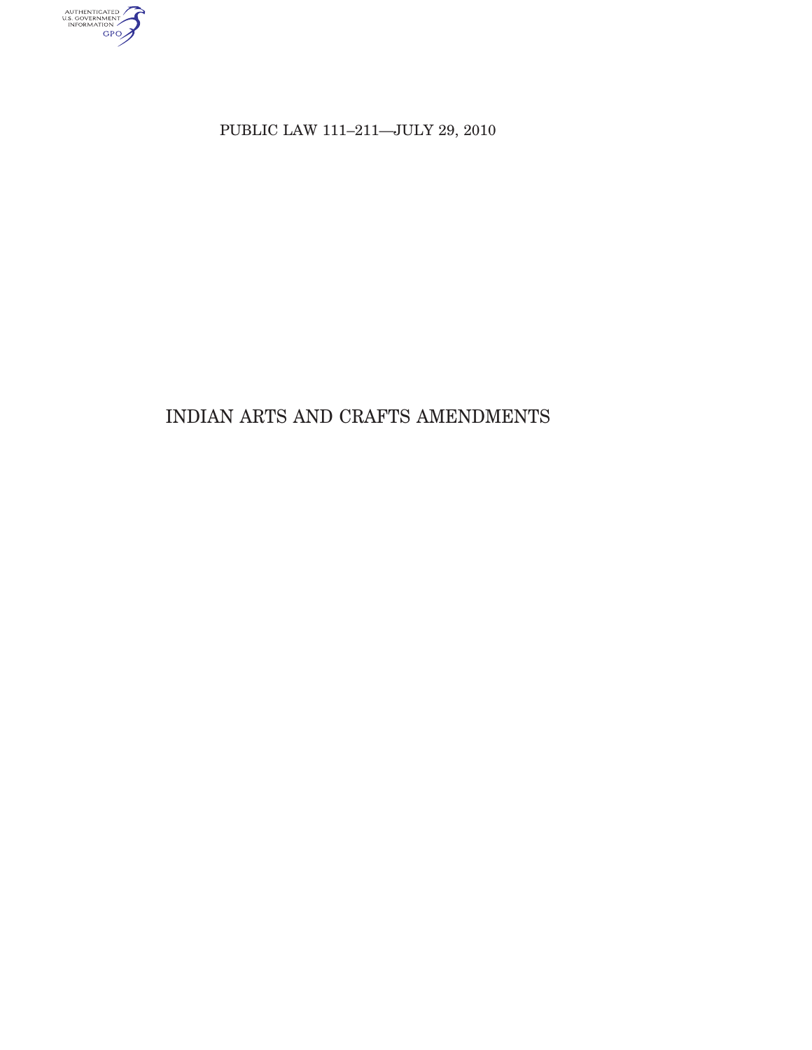

PUBLIC LAW 111-211-JULY 29, 2010

# INDIAN ARTS AND CRAFTS AMENDMENTS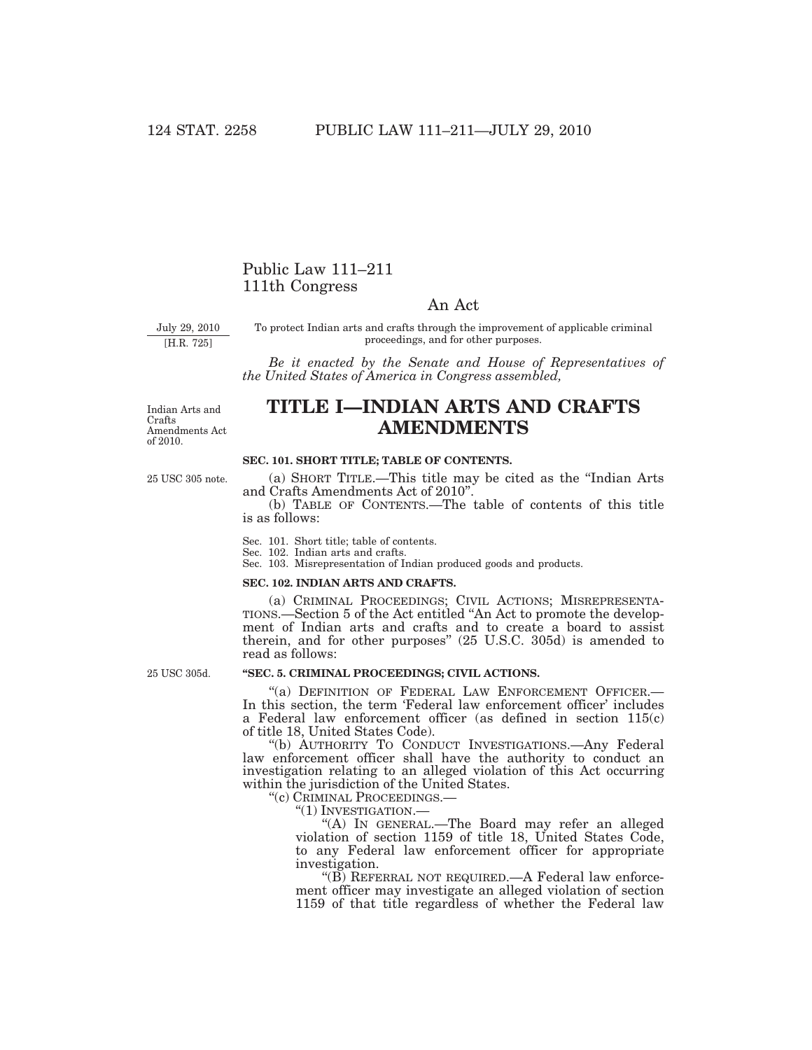## Public Law 111–211 111th Congress

### An Act

July 29, 2010

[H.R. 725]

To protect Indian arts and crafts through the improvement of applicable criminal proceedings, and for other purposes.

*Be it enacted by the Senate and House of Representatives of the United States of America in Congress assembled,* 

Indian Arts and Crafts Amendments Act of 2010.

25 USC 305 note.

## **TITLE I—INDIAN ARTS AND CRAFTS AMENDMENTS**

#### **SEC. 101. SHORT TITLE; TABLE OF CONTENTS.**

(a) SHORT TITLE.—This title may be cited as the ''Indian Arts and Crafts Amendments Act of 2010''.

(b) TABLE OF CONTENTS.—The table of contents of this title is as follows:

Sec. 101. Short title; table of contents.

Sec. 102. Indian arts and crafts.

Sec. 103. Misrepresentation of Indian produced goods and products.

#### **SEC. 102. INDIAN ARTS AND CRAFTS.**

(a) CRIMINAL PROCEEDINGS; CIVIL ACTIONS; MISREPRESENTA-TIONS.—Section 5 of the Act entitled ''An Act to promote the development of Indian arts and crafts and to create a board to assist therein, and for other purposes'' (25 U.S.C. 305d) is amended to read as follows:

25 USC 305d.

#### **''SEC. 5. CRIMINAL PROCEEDINGS; CIVIL ACTIONS.**

"(a) DEFINITION OF FEDERAL LAW ENFORCEMENT OFFICER.-In this section, the term 'Federal law enforcement officer' includes a Federal law enforcement officer (as defined in section 115(c) of title 18, United States Code).

''(b) AUTHORITY TO CONDUCT INVESTIGATIONS.—Any Federal law enforcement officer shall have the authority to conduct an investigation relating to an alleged violation of this Act occurring within the jurisdiction of the United States.

''(c) CRIMINAL PROCEEDINGS.—

''(1) INVESTIGATION.—

''(A) IN GENERAL.—The Board may refer an alleged violation of section 1159 of title 18, United States Code, to any Federal law enforcement officer for appropriate investigation.

"(B) REFERRAL NOT REQUIRED.—A Federal law enforcement officer may investigate an alleged violation of section 1159 of that title regardless of whether the Federal law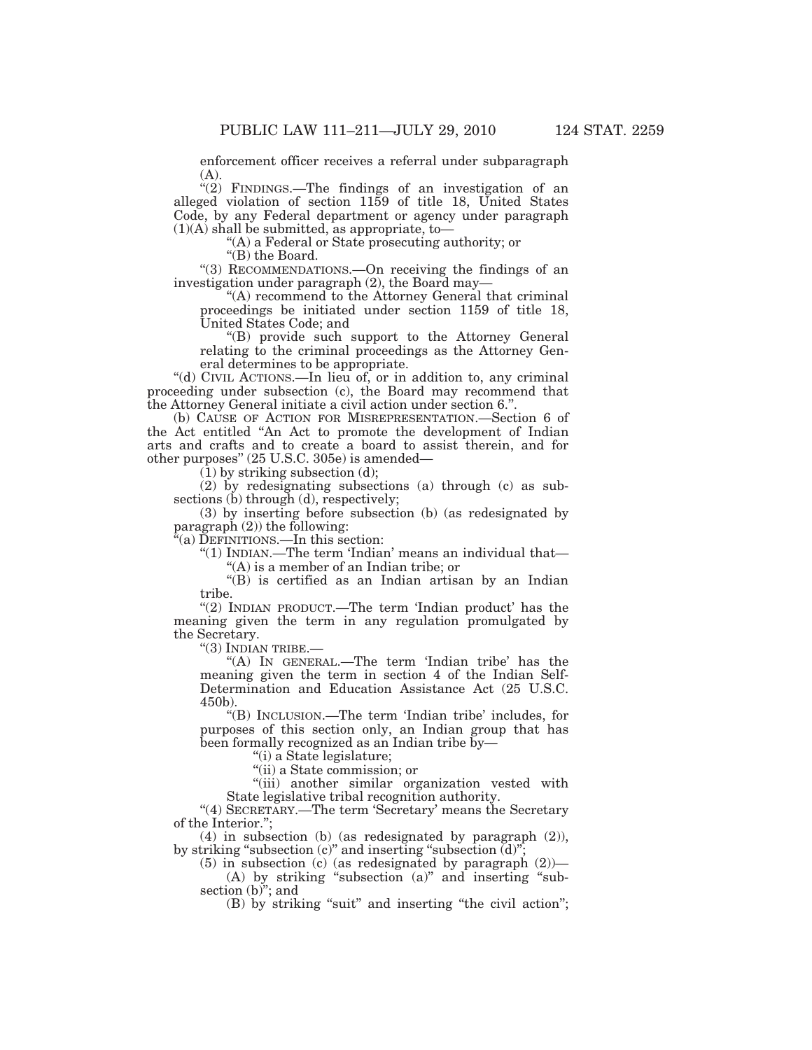enforcement officer receives a referral under subparagraph (A).

"(2) FINDINGS.—The findings of an investigation of an alleged violation of section 1159 of title 18, United States Code, by any Federal department or agency under paragraph  $(1)(A)$  shall be submitted, as appropriate, to-

''(A) a Federal or State prosecuting authority; or

''(B) the Board.

''(3) RECOMMENDATIONS.—On receiving the findings of an investigation under paragraph (2), the Board may—

''(A) recommend to the Attorney General that criminal proceedings be initiated under section 1159 of title 18, United States Code; and

''(B) provide such support to the Attorney General relating to the criminal proceedings as the Attorney General determines to be appropriate.

''(d) CIVIL ACTIONS.—In lieu of, or in addition to, any criminal proceeding under subsection (c), the Board may recommend that the Attorney General initiate a civil action under section 6.''.

(b) CAUSE OF ACTION FOR MISREPRESENTATION.—Section 6 of the Act entitled ''An Act to promote the development of Indian arts and crafts and to create a board to assist therein, and for other purposes'' (25 U.S.C. 305e) is amended—

 $(1)$  by striking subsection  $(d)$ ;

(2) by redesignating subsections (a) through (c) as subsections (b) through (d), respectively;

(3) by inserting before subsection (b) (as redesignated by paragraph  $(2)$ ) the following:

 $\tilde{P}$ (a) DEFINITIONS.—In this section:

''(1) INDIAN.—The term 'Indian' means an individual that—

''(A) is a member of an Indian tribe; or

''(B) is certified as an Indian artisan by an Indian tribe.

"(2) INDIAN PRODUCT.—The term 'Indian product' has the meaning given the term in any regulation promulgated by the Secretary.

''(3) INDIAN TRIBE.—

''(A) IN GENERAL.—The term 'Indian tribe' has the meaning given the term in section 4 of the Indian Self-Determination and Education Assistance Act (25 U.S.C. 450b).

''(B) INCLUSION.—The term 'Indian tribe' includes, for purposes of this section only, an Indian group that has been formally recognized as an Indian tribe by-

''(i) a State legislature;

''(ii) a State commission; or

"(iii) another similar organization vested with State legislative tribal recognition authority.

"(4) SECRETARY.—The term 'Secretary' means the Secretary of the Interior.'';

(4) in subsection (b) (as redesignated by paragraph (2)), by striking "subsection  $(c)$ " and inserting "subsection  $\overline{d}$ )";

 $(5)$  in subsection (c) (as redesignated by paragraph  $(2)$ )— (A) by striking "subsection  $(a)$ " and inserting "subsection  $(b)$ "; and

(B) by striking "suit" and inserting "the civil action";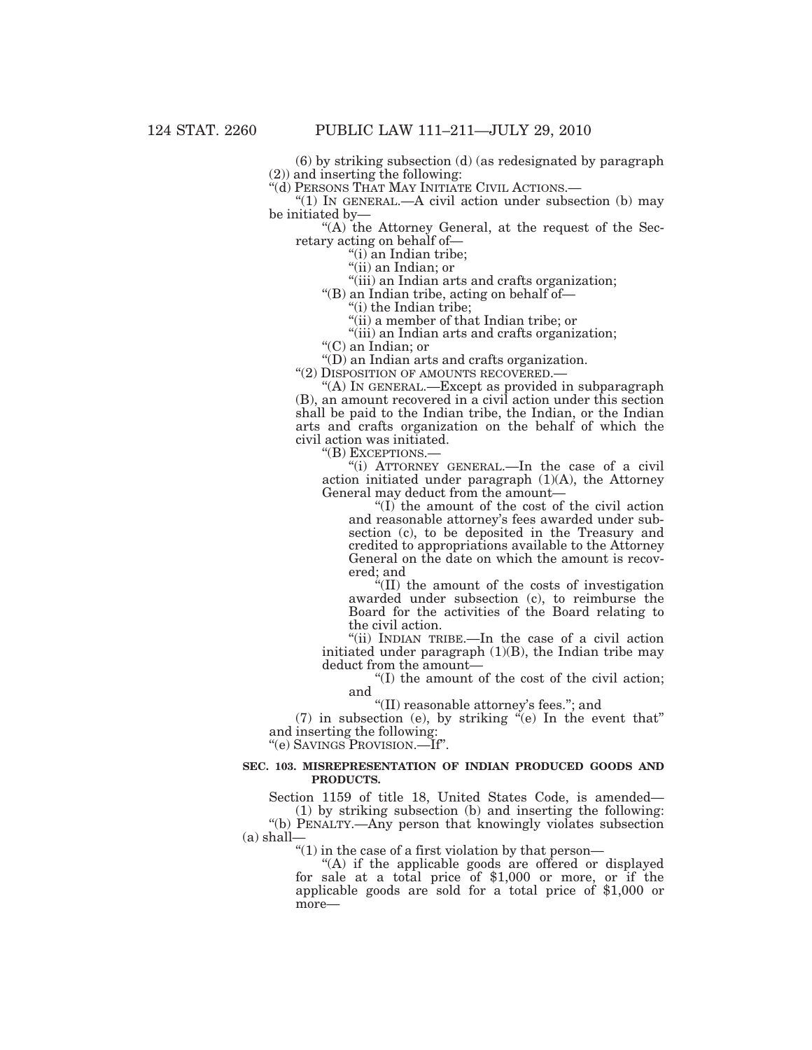(6) by striking subsection (d) (as redesignated by paragraph (2)) and inserting the following:

''(d) PERSONS THAT MAY INITIATE CIVIL ACTIONS.—

" $(1)$  In GENERAL.—A civil action under subsection  $(b)$  may be initiated by—

''(A) the Attorney General, at the request of the Secretary acting on behalf of—

''(i) an Indian tribe;

"(ii) an Indian; or

''(iii) an Indian arts and crafts organization;

''(B) an Indian tribe, acting on behalf of—

''(i) the Indian tribe;

''(ii) a member of that Indian tribe; or

''(iii) an Indian arts and crafts organization;

''(C) an Indian; or

''(D) an Indian arts and crafts organization.

''(2) DISPOSITION OF AMOUNTS RECOVERED.—

''(A) IN GENERAL.—Except as provided in subparagraph (B), an amount recovered in a civil action under this section shall be paid to the Indian tribe, the Indian, or the Indian arts and crafts organization on the behalf of which the civil action was initiated.

''(B) EXCEPTIONS.—

''(i) ATTORNEY GENERAL.—In the case of a civil action initiated under paragraph (1)(A), the Attorney General may deduct from the amount—

''(I) the amount of the cost of the civil action and reasonable attorney's fees awarded under subsection (c), to be deposited in the Treasury and credited to appropriations available to the Attorney General on the date on which the amount is recovered; and

''(II) the amount of the costs of investigation awarded under subsection (c), to reimburse the Board for the activities of the Board relating to the civil action.

''(ii) INDIAN TRIBE.—In the case of a civil action initiated under paragraph (1)(B), the Indian tribe may deduct from the amount—

 $(1)$  the amount of the cost of the civil action; and

''(II) reasonable attorney's fees.''; and

 $(7)$  in subsection (e), by striking "(e) In the event that" and inserting the following:

''(e) SAVINGS PROVISION.—If''.

#### **SEC. 103. MISREPRESENTATION OF INDIAN PRODUCED GOODS AND PRODUCTS.**

Section 1159 of title 18, United States Code, is amended—

(1) by striking subsection (b) and inserting the following: ''(b) PENALTY.—Any person that knowingly violates subsection (a) shall—

''(1) in the case of a first violation by that person—

"(A) if the applicable goods are offered or displayed for sale at a total price of \$1,000 or more, or if the applicable goods are sold for a total price of \$1,000 or more—